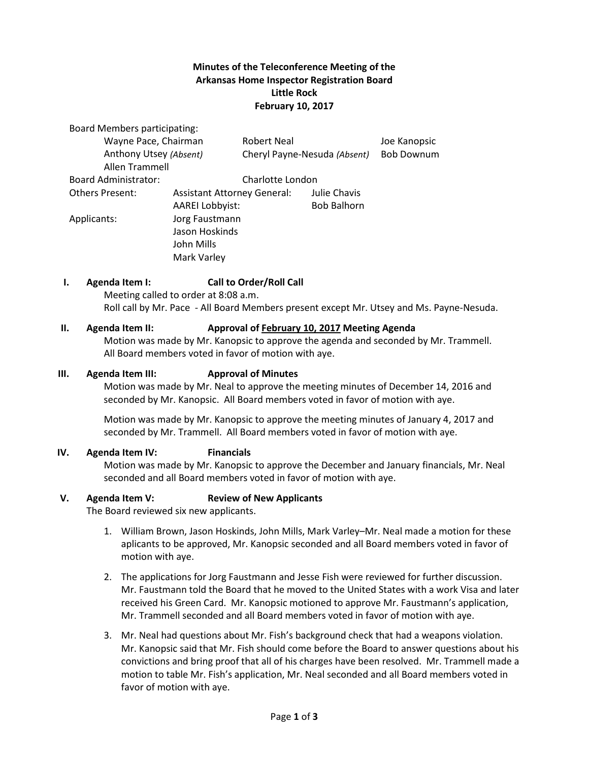## **Minutes of the Teleconference Meeting of the Arkansas Home Inspector Registration Board Little Rock February 10, 2017**

Board Members participating: Wayne Pace, Chairman **Robert Neal** and the Mondon Joe Kanopsic Anthony Utsey *(Absent)* Cheryl Payne-Nesuda *(Absent)* Bob Downum Allen Trammell Board Administrator: Charlotte London Others Present: Assistant Attorney General: Julie Chavis AAREI Lobbyist: Bob Balhorn Applicants: Jorg Faustmann Jason Hoskinds John Mills Mark Varley

#### **I. Agenda Item I: Call to Order/Roll Call** Meeting called to order at 8:08 a.m.

Roll call by Mr. Pace - All Board Members present except Mr. Utsey and Ms. Payne-Nesuda.

### **II. Agenda Item II: Approval of February 10, 2017 Meeting Agenda**

Motion was made by Mr. Kanopsic to approve the agenda and seconded by Mr. Trammell. All Board members voted in favor of motion with aye.

#### **III. Agenda Item III: Approval of Minutes**

Motion was made by Mr. Neal to approve the meeting minutes of December 14, 2016 and seconded by Mr. Kanopsic. All Board members voted in favor of motion with aye.

Motion was made by Mr. Kanopsic to approve the meeting minutes of January 4, 2017 and seconded by Mr. Trammell. All Board members voted in favor of motion with aye.

## **IV. Agenda Item IV: Financials**

Motion was made by Mr. Kanopsic to approve the December and January financials, Mr. Neal seconded and all Board members voted in favor of motion with aye.

#### **V. Agenda Item V: Review of New Applicants**

The Board reviewed six new applicants.

- 1. William Brown, Jason Hoskinds, John Mills, Mark Varley–Mr. Neal made a motion for these aplicants to be approved, Mr. Kanopsic seconded and all Board members voted in favor of motion with aye.
- 2. The applications for Jorg Faustmann and Jesse Fish were reviewed for further discussion. Mr. Faustmann told the Board that he moved to the United States with a work Visa and later received his Green Card. Mr. Kanopsic motioned to approve Mr. Faustmann's application, Mr. Trammell seconded and all Board members voted in favor of motion with aye.
- 3. Mr. Neal had questions about Mr. Fish's background check that had a weapons violation. Mr. Kanopsic said that Mr. Fish should come before the Board to answer questions about his convictions and bring proof that all of his charges have been resolved. Mr. Trammell made a motion to table Mr. Fish's application, Mr. Neal seconded and all Board members voted in favor of motion with aye.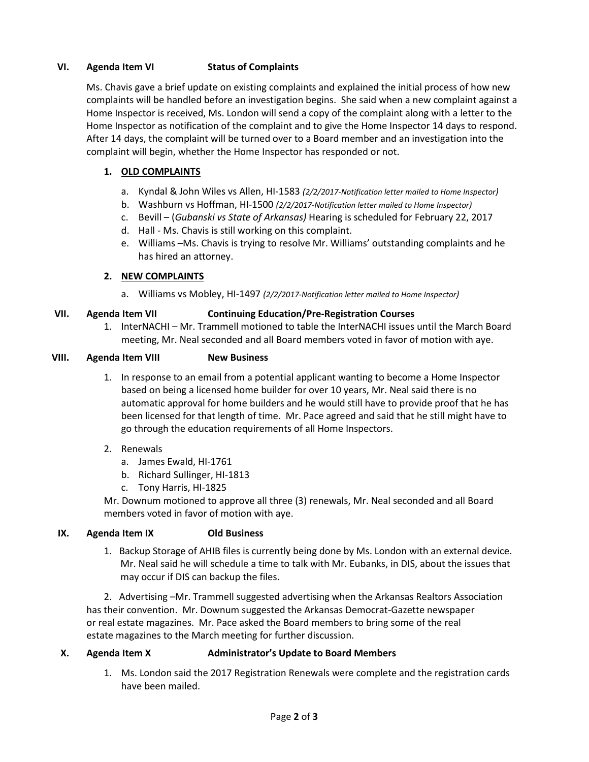## **VI. Agenda Item VI Status of Complaints**

Ms. Chavis gave a brief update on existing complaints and explained the initial process of how new complaints will be handled before an investigation begins. She said when a new complaint against a Home Inspector is received, Ms. London will send a copy of the complaint along with a letter to the Home Inspector as notification of the complaint and to give the Home Inspector 14 days to respond. After 14 days, the complaint will be turned over to a Board member and an investigation into the complaint will begin, whether the Home Inspector has responded or not.

# **1. OLD COMPLAINTS**

- a. Kyndal & John Wiles vs Allen, HI-1583 *(2/2/2017-Notification letter mailed to Home Inspector)*
- b. Washburn vs Hoffman, HI-1500 *(2/2/2017-Notification letter mailed to Home Inspector)*
- c. Bevill (*Gubanski vs State of Arkansas)* Hearing is scheduled for February 22, 2017
- d. Hall Ms. Chavis is still working on this complaint.
- e. Williams –Ms. Chavis is trying to resolve Mr. Williams' outstanding complaints and he has hired an attorney.

## **2. NEW COMPLAINTS**

a. Williams vs Mobley, HI-1497 *(2/2/2017-Notification letter mailed to Home Inspector)*

# **VII. Agenda Item VII Continuing Education/Pre-Registration Courses**

1. InterNACHI – Mr. Trammell motioned to table the InterNACHI issues until the March Board meeting, Mr. Neal seconded and all Board members voted in favor of motion with aye.

## **VIII. Agenda Item VIII New Business**

1. In response to an email from a potential applicant wanting to become a Home Inspector based on being a licensed home builder for over 10 years, Mr. Neal said there is no automatic approval for home builders and he would still have to provide proof that he has been licensed for that length of time. Mr. Pace agreed and said that he still might have to go through the education requirements of all Home Inspectors.

## 2. Renewals

- a. James Ewald, HI-1761
- b. Richard Sullinger, HI-1813
- c. Tony Harris, HI-1825

Mr. Downum motioned to approve all three (3) renewals, Mr. Neal seconded and all Board members voted in favor of motion with aye.

## **IX. Agenda Item IX Old Business**

1. Backup Storage of AHIB files is currently being done by Ms. London with an external device. Mr. Neal said he will schedule a time to talk with Mr. Eubanks, in DIS, about the issues that may occur if DIS can backup the files.

2. Advertising –Mr. Trammell suggested advertising when the Arkansas Realtors Association has their convention. Mr. Downum suggested the Arkansas Democrat-Gazette newspaper or real estate magazines. Mr. Pace asked the Board members to bring some of the real estate magazines to the March meeting for further discussion.

## **X. Agenda Item X Administrator's Update to Board Members**

1. Ms. London said the 2017 Registration Renewals were complete and the registration cards have been mailed.